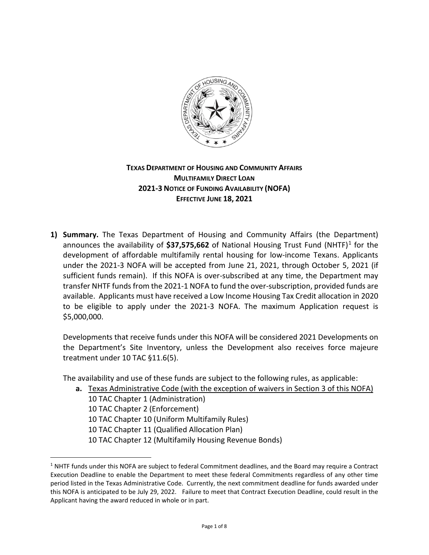

### **TEXAS DEPARTMENT OF HOUSING AND COMMUNITY AFFAIRS MULTIFAMILY DIRECT LOAN 2021-3 NOTICE OF FUNDING AVAILABILITY (NOFA) EFFECTIVE JUNE 18, 2021**

**1) Summary.** The Texas Department of Housing and Community Affairs (the Department) announces the availability of \$37,575,662 of National Housing Trust Fund (NHTF)<sup>[1](#page-0-0)</sup> for the development of affordable multifamily rental housing for low-income Texans. Applicants under the 2021-3 NOFA will be accepted from June 21, 2021, through October 5, 2021 (if sufficient funds remain). If this NOFA is over-subscribed at any time, the Department may transfer NHTF funds from the 2021-1 NOFA to fund the over-subscription, provided funds are available. Applicants must have received a Low Income Housing Tax Credit allocation in 2020 to be eligible to apply under the 2021-3 NOFA. The maximum Application request is \$5,000,000.

Developments that receive funds under this NOFA will be considered 2021 Developments on the Department's Site Inventory, unless the Development also receives force majeure treatment under 10 TAC §11.6(5).

The availability and use of these funds are subject to the following rules, as applicable:

**a.** Texas Administrative Code (with the exception of waivers in Section 3 of this NOFA) 10 TAC Chapter 1 (Administration) 10 TAC Chapter 2 (Enforcement) 10 TAC Chapter 10 (Uniform Multifamily Rules) 10 TAC Chapter 11 (Qualified Allocation Plan) 10 TAC Chapter 12 (Multifamily Housing Revenue Bonds)

 $\overline{a}$ 

<span id="page-0-0"></span> $1$  NHTF funds under this NOFA are subject to federal Commitment deadlines, and the Board may require a Contract Execution Deadline to enable the Department to meet these federal Commitments regardless of any other time period listed in the Texas Administrative Code. Currently, the next commitment deadline for funds awarded under this NOFA is anticipated to be July 29, 2022. Failure to meet that Contract Execution Deadline, could result in the Applicant having the award reduced in whole or in part.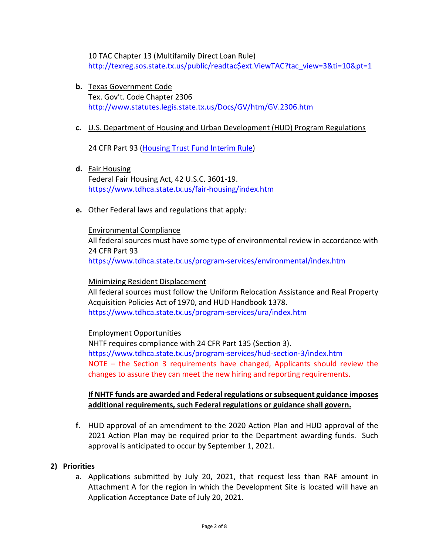10 TAC Chapter 13 (Multifamily Direct Loan Rule) [http://texreg.sos.state.tx.us/public/readtac\\$ext.ViewTAC?tac\\_view=3&ti=10&pt=1](http://texreg.sos.state.tx.us/public/readtac$ext.ViewTAC?tac_view=3&ti=10&pt=1)

**b.** Texas Government Code Tex. Gov't. Code Chapter 2306 <http://www.statutes.legis.state.tx.us/Docs/GV/htm/GV.2306.htm>

#### **c.** U.S. Department of Housing and Urban Development (HUD) Program Regulations

24 CFR Part 93 [\(Housing Trust Fund Interim Rule\)](http://www.ecfr.gov/cgi-bin/text-idx?SID=222584118d192eb177d111b97b45cda8&mc=true&tpl=/ecfrbrowse/Title24/24cfr93_main_02.tpl)

- **d.** Fair Housing Federal Fair Housing Act, 42 U.S.C. 3601-19. <https://www.tdhca.state.tx.us/fair-housing/index.htm>
- **e.** Other Federal laws and regulations that apply:

# Environmental Compliance

All federal sources must have some type of environmental review in accordance with 24 CFR Part 93 <https://www.tdhca.state.tx.us/program-services/environmental/index.htm>

#### Minimizing Resident Displacement

All federal sources must follow the Uniform Relocation Assistance and Real Property Acquisition Policies Act of 1970, and HUD Handbook 1378. <https://www.tdhca.state.tx.us/program-services/ura/index.htm>

#### Employment Opportunities

NHTF requires compliance with 24 CFR Part 135 (Section 3). <https://www.tdhca.state.tx.us/program-services/hud-section-3/index.htm> NOTE – the Section 3 requirements have changed, Applicants should review the changes to assure they can meet the new hiring and reporting requirements.

#### **If NHTF funds are awarded and Federal regulations or subsequent guidance imposes additional requirements, such Federal regulations or guidance shall govern.**

**f.** HUD approval of an amendment to the 2020 Action Plan and HUD approval of the 2021 Action Plan may be required prior to the Department awarding funds. Such approval is anticipated to occur by September 1, 2021.

#### **2) Priorities**

a. Applications submitted by July 20, 2021, that request less than RAF amount in Attachment A for the region in which the Development Site is located will have an Application Acceptance Date of July 20, 2021.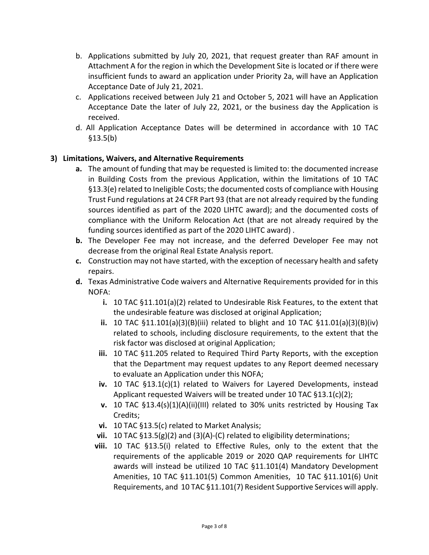- b. Applications submitted by July 20, 2021, that request greater than RAF amount in Attachment A for the region in which the Development Site is located or if there were insufficient funds to award an application under Priority 2a, will have an Application Acceptance Date of July 21, 2021.
- c. Applications received between July 21 and October 5, 2021 will have an Application Acceptance Date the later of July 22, 2021, or the business day the Application is received.
- d. All Application Acceptance Dates will be determined in accordance with 10 TAC §13.5(b)

### **3) Limitations, Waivers, and Alternative Requirements**

- **a.** The amount of funding that may be requested is limited to: the documented increase in Building Costs from the previous Application, within the limitations of 10 TAC §13.3(e) related to Ineligible Costs; the documented costs of compliance with Housing Trust Fund regulations at 24 CFR Part 93 (that are not already required by the funding sources identified as part of the 2020 LIHTC award); and the documented costs of compliance with the Uniform Relocation Act (that are not already required by the funding sources identified as part of the 2020 LIHTC award) .
- **b.** The Developer Fee may not increase, and the deferred Developer Fee may not decrease from the original Real Estate Analysis report.
- **c.** Construction may not have started, with the exception of necessary health and safety repairs.
- **d.** Texas Administrative Code waivers and Alternative Requirements provided for in this NOFA:
	- **i.** 10 TAC §11.101(a)(2) related to Undesirable Risk Features, to the extent that the undesirable feature was disclosed at original Application;
	- **ii.** 10 TAC §11.101(a)(3)(B)(iii) related to blight and 10 TAC §11.01(a)(3)(B)(iv) related to schools, including disclosure requirements, to the extent that the risk factor was disclosed at original Application;
	- **iii.** 10 TAC §11.205 related to Required Third Party Reports, with the exception that the Department may request updates to any Report deemed necessary to evaluate an Application under this NOFA;
	- **iv.** 10 TAC §13.1(c)(1) related to Waivers for Layered Developments, instead Applicant requested Waivers will be treated under 10 TAC §13.1(c)(2);
	- **v.** 10 TAC §13.4(s)(1)(A)(ii)(III) related to 30% units restricted by Housing Tax Credits;
	- **vi.** 10 TAC §13.5(c) related to Market Analysis;
	- **vii.** 10 TAC §13.5(g)(2) and (3)(A)-(C) related to eligibility determinations;
	- **viii.** 10 TAC §13.5(i) related to Effective Rules, only to the extent that the requirements of the applicable 2019 or 2020 QAP requirements for LIHTC awards will instead be utilized 10 TAC §11.101(4) Mandatory Development Amenities, 10 TAC §11.101(5) Common Amenities, 10 TAC §11.101(6) Unit Requirements, and 10 TAC §11.101(7) Resident Supportive Services will apply.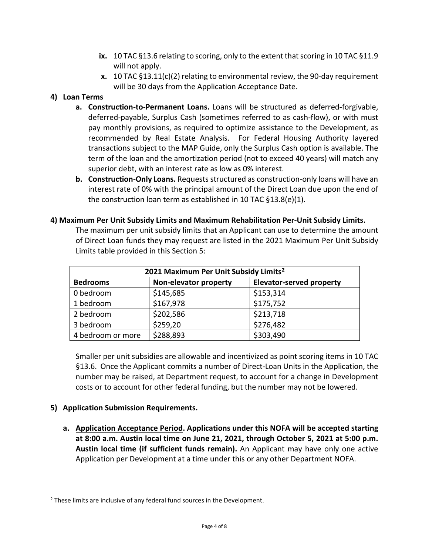- **ix.** 10 TAC §13.6 relating to scoring, only to the extent that scoring in 10 TAC §11.9 will not apply.
- **x.** 10 TAC §13.11(c)(2) relating to environmental review, the 90-day requirement will be 30 days from the Application Acceptance Date.

### **4) Loan Terms**

- **a. Construction-to-Permanent Loans.** Loans will be structured as deferred-forgivable, deferred-payable, Surplus Cash (sometimes referred to as cash-flow), or with must pay monthly provisions, as required to optimize assistance to the Development, as recommended by Real Estate Analysis. For Federal Housing Authority layered transactions subject to the MAP Guide, only the Surplus Cash option is available. The term of the loan and the amortization period (not to exceed 40 years) will match any superior debt, with an interest rate as low as 0% interest.
- **b. Construction-Only Loans.** Requests structured as construction-only loans will have an interest rate of 0% with the principal amount of the Direct Loan due upon the end of the construction loan term as established in 10 TAC §13.8(e)(1).

|                                                   | Limits table provided in this Section 5: | The maximum per unit subsidy limits that an Applicant can use to determine the amount<br>of Direct Loan funds they may request are listed in the 2021 Maximum Per Unit Subsidy |  |
|---------------------------------------------------|------------------------------------------|--------------------------------------------------------------------------------------------------------------------------------------------------------------------------------|--|
| 2021 Maximum Per Unit Subsidy Limits <sup>2</sup> |                                          |                                                                                                                                                                                |  |
| <b>Bedrooms</b>                                   | <b>Non-elevator property</b>             | <b>Elevator-served property</b>                                                                                                                                                |  |
| 0 bedroom                                         | \$145,685                                | \$153,314                                                                                                                                                                      |  |
|                                                   |                                          |                                                                                                                                                                                |  |

2 bedroom  $\frac{1}{202,586}$  | \$213,718  $3 \text{ bedroom}$   $\frac{1}{259,20}$   $\frac{1}{276,482}$ 4 bedroom or more  $\left| \right. \succeq 288,893$   $\left| \right. \succeq 303,490$ 

#### **4) Maximum Per Unit Subsidy Limits and Maximum Rehabilitation Per-Unit Subsidy Limits.**

Smaller per unit subsidies are allowable and incentivized as point scoring items in 10 TAC §13.6. Once the Applicant commits a number of Direct-Loan Units in the Application, the number may be raised, at Department request, to account for a change in Development costs or to account for other federal funding, but the number may not be lowered.

### **5) Application Submission Requirements.**

 $\overline{a}$ 

**a. Application Acceptance Period. Applications under this NOFA will be accepted starting at 8:00 a.m. Austin local time on June 21, 2021, through October 5, 2021 at 5:00 p.m. Austin local time (if sufficient funds remain).** An Applicant may have only one active Application per Development at a time under this or any other Department NOFA.

<span id="page-3-0"></span><sup>&</sup>lt;sup>2</sup> These limits are inclusive of any federal fund sources in the Development.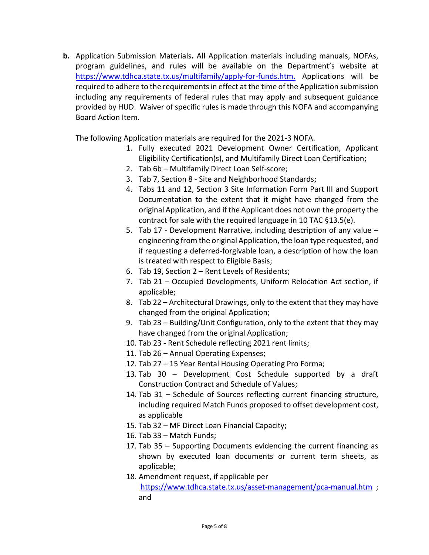**b.** Application Submission Materials**.** All Application materials including manuals, NOFAs, program guidelines, and rules will be available on the Department's website a[t](https://www.tdhca.state.tx.us/multifamily/apply-for-funds.htm.)  <https://www.tdhca.state.tx.us/multifamily/apply-for-funds.htm.> Applications will be required to adhere to the requirements in effect at the time of the Application submission including any requirements of federal rules that may apply and subsequent guidance provided by HUD. Waiver of specific rules is made through this NOFA and accompanying Board Action Item.

The following Application materials are required for the 2021-3 NOFA.

- 1. Fully executed 2021 Development Owner Certification, Applicant Eligibility Certification(s), and Multifamily Direct Loan Certification;
- 2. Tab 6b Multifamily Direct Loan Self-score;
- 3. Tab 7, Section 8 Site and Neighborhood Standards;
- 4. Tabs 11 and 12, Section 3 Site Information Form Part III and Support Documentation to the extent that it might have changed from the original Application, and if the Applicant does not own the property the contract for sale with the required language in 10 TAC §13.5(e).
- 5. Tab 17 Development Narrative, including description of any value engineering from the original Application, the loan type requested, and if requesting a deferred-forgivable loan, a description of how the loan is treated with respect to Eligible Basis;
- 6. Tab 19, Section 2 Rent Levels of Residents;
- 7. Tab 21 Occupied Developments, Uniform Relocation Act section, if applicable;
- 8. Tab 22 Architectural Drawings, only to the extent that they may have changed from the original Application;
- 9. Tab 23 Building/Unit Configuration, only to the extent that they may have changed from the original Application;
- 10. Tab 23 Rent Schedule reflecting 2021 rent limits;
- 11. Tab 26 Annual Operating Expenses;
- 12. Tab 27 15 Year Rental Housing Operating Pro Forma;
- 13. Tab 30 Development Cost Schedule supported by a draft Construction Contract and Schedule of Values;
- 14. Tab 31 Schedule of Sources reflecting current financing structure, including required Match Funds proposed to offset development cost, as applicable
- 15. Tab 32 MF Direct Loan Financial Capacity;
- 16. Tab 33 Match Funds;
- 17. Tab 35 Supporting Documents evidencing the current financing as shown by executed loan documents or current term sheets, as applicable;
- 18. Amendment request, if applicable per <https://www.tdhca.state.tx.us/asset-management/pca-manual.htm>; and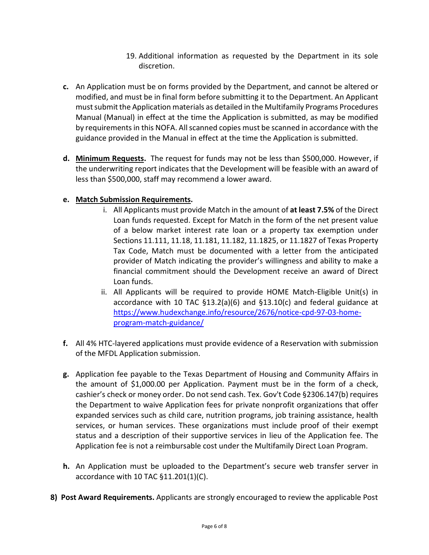- 19. Additional information as requested by the Department in its sole discretion.
- **c.** An Application must be on forms provided by the Department, and cannot be altered or modified, and must be in final form before submitting it to the Department. An Applicant must submit the Application materials as detailed in the Multifamily Programs Procedures Manual (Manual) in effect at the time the Application is submitted, as may be modified by requirements in this NOFA. All scanned copies must be scanned in accordance with the guidance provided in the Manual in effect at the time the Application is submitted.
- **d. Minimum Requests.** The request for funds may not be less than \$500,000. However, if the underwriting report indicates that the Development will be feasible with an award of less than \$500,000, staff may recommend a lower award.

### **e. Match Submission Requirements.**

- i. All Applicants must provide Match in the amount of **at least 7.5%** of the Direct Loan funds requested. Except for Match in the form of the net present value of a below market interest rate loan or a property tax exemption under Sections 11.111, 11.18, 11.181, 11.182, 11.1825, or 11.1827 of Texas Property Tax Code, Match must be documented with a letter from the anticipated provider of Match indicating the provider's willingness and ability to make a financial commitment should the Development receive an award of Direct Loan funds.
- ii. All Applicants will be required to provide HOME Match-Eligible Unit(s) in accordance with 10 TAC §13.2(a)(6) and §13.10(c) and federal guidance at [https://www.hudexchange.info/resource/2676/notice-cpd-97-03-home](https://www.hudexchange.info/resource/2676/notice-cpd-97-03-home-program-match-guidance/)[program-match-guidance/](https://www.hudexchange.info/resource/2676/notice-cpd-97-03-home-program-match-guidance/)
- **f.** All 4% HTC-layered applications must provide evidence of a Reservation with submission of the MFDL Application submission.
- **g.** Application fee payable to the Texas Department of Housing and Community Affairs in the amount of \$1,000.00 per Application. Payment must be in the form of a check, cashier's check or money order. Do not send cash. Tex. Gov't Code §2306.147(b) requires the Department to waive Application fees for private nonprofit organizations that offer expanded services such as child care, nutrition programs, job training assistance, health services, or human services. These organizations must include proof of their exempt status and a description of their supportive services in lieu of the Application fee. The Application fee is not a reimbursable cost under the Multifamily Direct Loan Program.
- **h.** An Application must be uploaded to the Department's secure web transfer server in accordance with 10 TAC §11.201(1)(C).
- **8) Post Award Requirements.** Applicants are strongly encouraged to review the applicable Post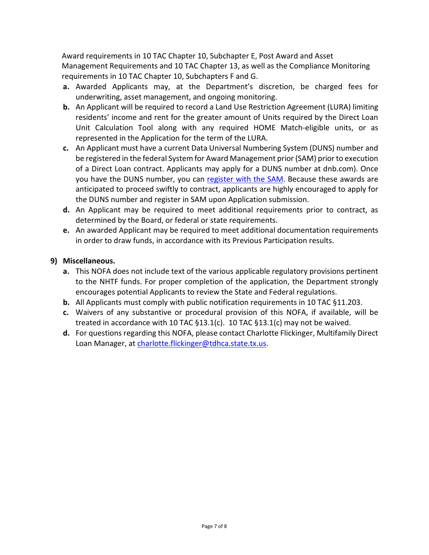Award requirements in 10 TAC Chapter 10, Subchapter E, Post Award and Asset Management Requirements and 10 TAC Chapter 13, as well as the Compliance Monitoring requirements in 10 TAC Chapter 10, Subchapters F and G.

- **a.** Awarded Applicants may, at the Department's discretion, be charged fees for underwriting, asset management, and ongoing monitoring.
- **b.** An Applicant will be required to record a Land Use Restriction Agreement (LURA) limiting residents' income and rent for the greater amount of Units required by the Direct Loan Unit Calculation Tool along with any required HOME Match-eligible units, or as represented in the Application for the term of the LURA.
- **c.** An Applicant must have a current Data Universal Numbering System (DUNS) number and be registered in the federal System for Award Management prior (SAM) prior to execution of a Direct Loan contract. Applicants may apply for a DUNS number at dnb.com). Once you have the DUNS number, you can [register with the SAM.](https://www.sam.gov/portal/public/SAM/) Because these awards are anticipated to proceed swiftly to contract, applicants are highly encouraged to apply for the DUNS number and register in SAM upon Application submission.
- **d.** An Applicant may be required to meet additional requirements prior to contract, as determined by the Board, or federal or state requirements.
- **e.** An awarded Applicant may be required to meet additional documentation requirements in order to draw funds, in accordance with its Previous Participation results.

### **9) Miscellaneous.**

- **a.** This NOFA does not include text of the various applicable regulatory provisions pertinent to the NHTF funds. For proper completion of the application, the Department strongly encourages potential Applicants to review the State and Federal regulations.
- **b.** All Applicants must comply with public notification requirements in 10 TAC §11.203.
- **c.** Waivers of any substantive or procedural provision of this NOFA, if available, will be treated in accordance with 10 TAC  $\S$ 13.1(c). 10 TAC  $\S$ 13.1(c) may not be waived.
- **d.** For questions regarding this NOFA, please contact Charlotte Flickinger, Multifamily Direct Loan Manager, at [charlotte.flickinger@tdhca.state.tx.us.](mailto:charlotte.flickinger@tdhca.state.tx.us)